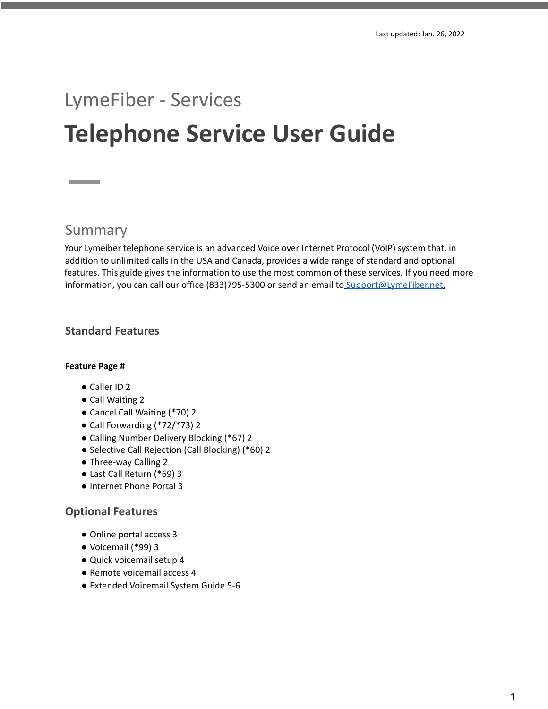# LymeFiber - Services **Telephone Service User Guide**

# Summary

Your Lymeiber telephone service is an advanced Voice over Internet Protocol (VoIP) system that, in addition to unlimited calls in the USA and Canada, provides a wide range of standard and optional features. This guide gives the information to use the most common of these services. If you need more information, you can call our office (833)795-5300 or send an email to Support@LymeFiber.net.

# **Standard Features**

### **Feature Page #**

- Caller ID 2
- Call Waiting 2
- Cancel Call Waiting (\*70) 2
- Call Forwarding (\*72/\*73) 2
- Calling Number Delivery Blocking (\*67) 2
- Selective Call Rejection (Call Blocking) (\*60) 2
- Three-way Calling 2
- Last Call Return (\*69) 3
- Internet Phone Portal 3

# **Optional Features**

- Online portal access 3
- Voicemail (\*99) 3
- Quick voicemail setup 4
- Remote voicemail access 4
- Extended Voicemail System Guide 5-6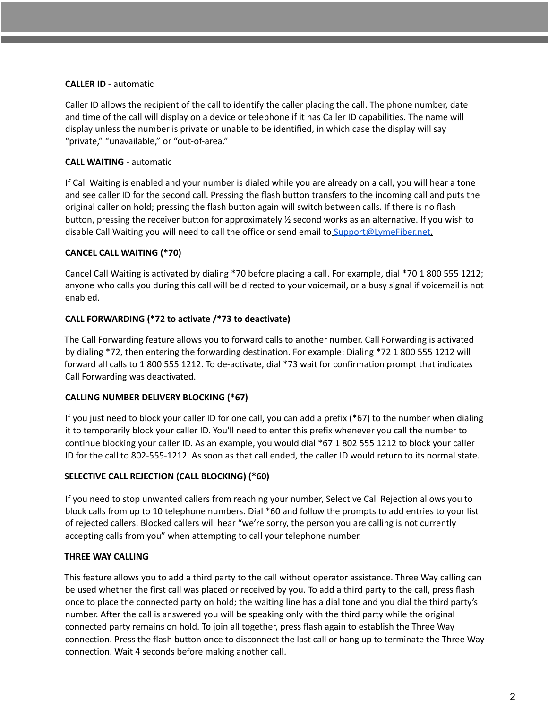### **CALLER ID** - automatic

Caller ID allows the recipient of the call to identify the caller placing the call. The phone number, date and time of the call will display on a device or telephone if it has Caller ID capabilities. The name will display unless the number is private or unable to be identified, in which case the display will say "private," "unavailable," or "out-of-area."

# **CALL WAITING** - automatic

If Call Waiting is enabled and your number is dialed while you are already on a call, you will hear a tone and see caller ID for the second call. Pressing the flash button transfers to the incoming call and puts the original caller on hold; pressing the flash button again will switch between calls. If there is no flash button, pressing the receiver button for approximately ½ second works as an alternative. If you wish to disable Call Waiting you will need to call the office or send email to Support@LymeFiber.net.

### **CANCEL CALL WAITING (\*70)**

Cancel Call Waiting is activated by dialing \*70 before placing a call. For example, dial \*70 1 800 555 1212; anyone who calls you during this call will be directed to your voicemail, or a busy signal if voicemail is not enabled.

### **CALL FORWARDING (\*72 to activate /\*73 to deactivate)**

The Call Forwarding feature allows you to forward calls to another number. Call Forwarding is activated by dialing \*72, then entering the forwarding destination. For example: Dialing \*72 1 800 555 1212 will forward all calls to 1 800 555 1212. To de-activate, dial \*73 wait for confirmation prompt that indicates Call Forwarding was deactivated.

# **CALLING NUMBER DELIVERY BLOCKING (\*67)**

If you just need to block your caller ID for one call, you can add a prefix (\*67) to the number when dialing it to temporarily block your caller ID. You'll need to enter this prefix whenever you call the number to continue blocking your caller ID. As an example, you would dial \*67 1 802 555 1212 to block your caller ID for the call to 802-555-1212. As soon as that call ended, the caller ID would return to its normal state.

### **SELECTIVE CALL REJECTION (CALL BLOCKING) (\*60)**

If you need to stop unwanted callers from reaching your number, Selective Call Rejection allows you to block calls from up to 10 telephone numbers. Dial \*60 and follow the prompts to add entries to your list of rejected callers. Blocked callers will hear "we're sorry, the person you are calling is not currently accepting calls from you" when attempting to call your telephone number.

# **THREE WAY CALLING**

This feature allows you to add a third party to the call without operator assistance. Three Way calling can be used whether the first call was placed or received by you. To add a third party to the call, press flash once to place the connected party on hold; the waiting line has a dial tone and you dial the third party's number. After the call is answered you will be speaking only with the third party while the original connected party remains on hold. To join all together, press flash again to establish the Three Way connection. Press the flash button once to disconnect the last call or hang up to terminate the Three Way connection. Wait 4 seconds before making another call.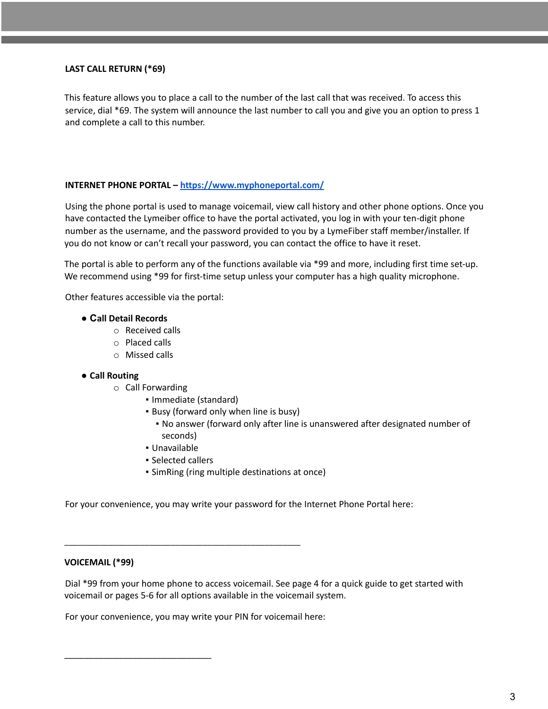### **LAST CALL RETURN (\*69)**

This feature allows you to place a call to the number of the last call that was received. To access this service, dial \*69. The system will announce the last number to call you and give you an option to press 1 and complete a call to this number.

### **INTERNET PHONE PORTAL – <https://www.myphoneportal.com/>**

Using the phone portal is used to manage voicemail, view call history and other phone options. Once you have contacted the Lymeiber office to have the portal activated, you log in with your ten-digit phone number as the username, and the password provided to you by a LymeFiber staff member/installer. If you do not know or can't recall your password, you can contact the office to have it reset.

The portal is able to perform any of the functions available via \*99 and more, including first time set-up. We recommend using \*99 for first-time setup unless your computer has a high quality microphone.

Other features accessible via the portal:

### **● Call Detail Records**

- o Received calls
- o Placed calls
- o Missed calls

### **● Call Routing**

- o Call Forwarding
	- Immediate (standard)
	- Busy (forward only when line is busy)
		- No answer (forward only after line is unanswered after designated number of seconds)
	- Unavailable
	- Selected callers

\_\_\_\_\_\_\_\_\_\_\_\_\_\_\_\_\_\_\_\_\_\_\_\_\_\_\_\_\_\_\_\_\_\_\_\_\_\_\_\_\_\_\_\_\_\_\_\_\_\_\_\_\_

**· SimRing (ring multiple destinations at once)** 

For your convenience, you may write your password for the Internet Phone Portal here:

### **VOICEMAIL (\*99)**

\_\_\_\_\_\_\_\_\_\_\_\_\_\_\_\_\_\_\_\_\_\_\_\_\_\_\_\_\_\_

Dial \*99 from your home phone to access voicemail. See page 4 for a quick guide to get started with voicemail or pages 5-6 for all options available in the voicemail system.

For your convenience, you may write your PIN for voicemail here: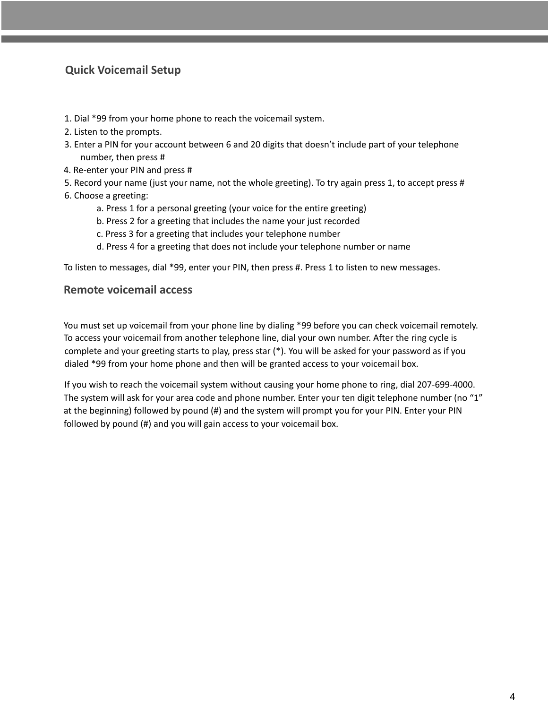# **Quick Voicemail Setup**

- 1. Dial \*99 from your home phone to reach the voicemail system.
- 2. Listen to the prompts.
- 3. Enter a PIN for your account between 6 and 20 digits that doesn't include part of your telephone number, then press #
- 4. Re-enter your PIN and press #
- 5. Record your name (just your name, not the whole greeting). To try again press 1, to accept press #
- 6. Choose a greeting:
	- a. Press 1 for a personal greeting (your voice for the entire greeting)
	- b. Press 2 for a greeting that includes the name your just recorded
	- c. Press 3 for a greeting that includes your telephone number
	- d. Press 4 for a greeting that does not include your telephone number or name

To listen to messages, dial \*99, enter your PIN, then press #. Press 1 to listen to new messages.

# **Remote voicemail access**

You must set up voicemail from your phone line by dialing \*99 before you can check voicemail remotely. To access your voicemail from another telephone line, dial your own number. After the ring cycle is complete and your greeting starts to play, press star (\*). You will be asked for your password as if you dialed \*99 from your home phone and then will be granted access to your voicemail box.

If you wish to reach the voicemail system without causing your home phone to ring, dial 207-699-4000. The system will ask for your area code and phone number. Enter your ten digit telephone number (no "1" at the beginning) followed by pound (#) and the system will prompt you for your PIN. Enter your PIN followed by pound (#) and you will gain access to your voicemail box.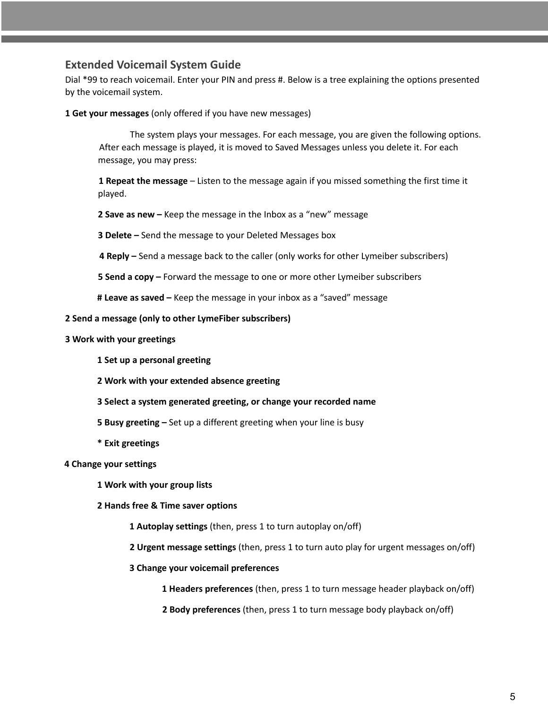# **Extended Voicemail System Guide**

Dial \*99 to reach voicemail. Enter your PIN and press #. Below is a tree explaining the options presented by the voicemail system.

**Get your messages** (only offered if you have new messages)

The system plays your messages. For each message, you are given the following options. After each message is played, it is moved to Saved Messages unless you delete it. For each message, you may press:

 **Repeat the message** – Listen to the message again if you missed something the first time it played.

**Save as new –** Keep the message in the Inbox as a "new" message

**Delete –** Send the message to your Deleted Messages box

**Reply –** Send a message back to the caller (only works for other Lymeiber subscribers)

**Send a copy –** Forward the message to one or more other Lymeiber subscribers

**# Leave as saved –** Keep the message in your inbox as a "saved" message

### **Send a message (only to other LymeFiber subscribers)**

- **Work with your greetings**
	- **Set up a personal greeting**
	- **Work with your extended absence greeting**
	- **Select a system generated greeting, or change your recorded name**
	- **Busy greeting –** Set up a different greeting when your line is busy
	- **\* Exit greetings**

# **Change your settings**

**Work with your group lists**

### **Hands free & Time saver options**

- **Autoplay settings** (then, press 1 to turn autoplay on/off)
- **Urgent message settings** (then, press 1 to turn auto play for urgent messages on/off)
- **Change your voicemail preferences**

**Headers preferences** (then, press 1 to turn message header playback on/off)

**Body preferences** (then, press 1 to turn message body playback on/off)